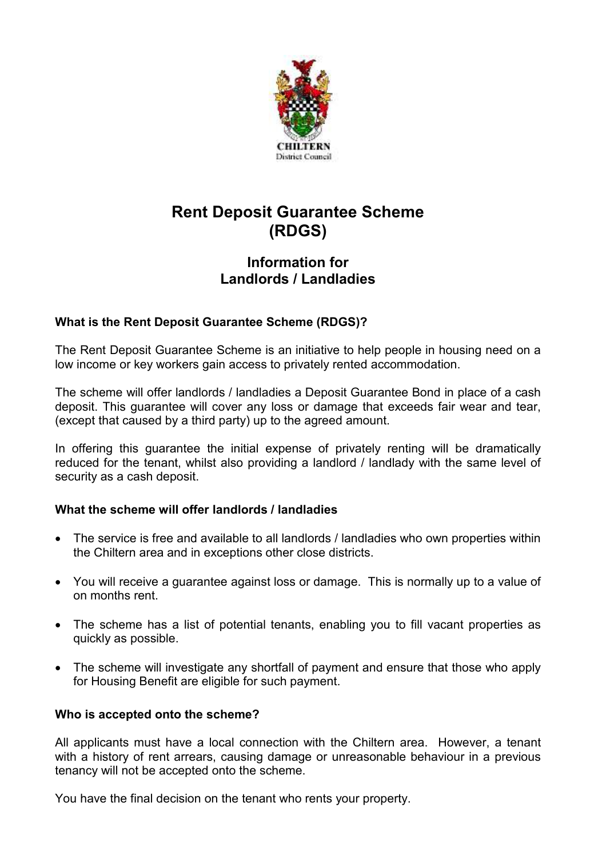

# Rent Deposit Guarantee Scheme (RDGS)

## Information for Landlords / Landladies

### What is the Rent Deposit Guarantee Scheme (RDGS)?

The Rent Deposit Guarantee Scheme is an initiative to help people in housing need on a low income or key workers gain access to privately rented accommodation.

The scheme will offer landlords / landladies a Deposit Guarantee Bond in place of a cash deposit. This guarantee will cover any loss or damage that exceeds fair wear and tear, (except that caused by a third party) up to the agreed amount.

In offering this guarantee the initial expense of privately renting will be dramatically reduced for the tenant, whilst also providing a landlord / landlady with the same level of security as a cash deposit.

### What the scheme will offer landlords / landladies

- The service is free and available to all landlords / landladies who own properties within the Chiltern area and in exceptions other close districts.
- You will receive a guarantee against loss or damage. This is normally up to a value of on months rent.
- The scheme has a list of potential tenants, enabling you to fill vacant properties as quickly as possible.
- The scheme will investigate any shortfall of payment and ensure that those who apply for Housing Benefit are eligible for such payment.

### Who is accepted onto the scheme?

All applicants must have a local connection with the Chiltern area. However, a tenant with a history of rent arrears, causing damage or unreasonable behaviour in a previous tenancy will not be accepted onto the scheme.

You have the final decision on the tenant who rents your property.